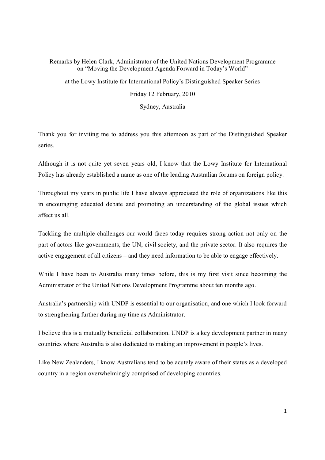## Remarks by Helen Clark, Administrator of the United Nations Development Programme on "Moving the Development Agenda Forward in Today's World" at the Lowy Institute for International Policy's Distinguished Speaker Series

Friday 12 February, 2010

Sydney, Australia

Thank you for inviting me to address you this afternoon as part of the Distinguished Speaker series.

Although it is not quite yet seven years old, I know that the Lowy Institute for International Policy has already established a name as one of the leading Australian forums on foreign policy.

Throughout my years in public life I have always appreciated the role of organizations like this in encouraging educated debate and promoting an understanding of the global issues which affect us all.

Tackling the multiple challenges our world faces today requires strong action not only on the part of actors like governments, the UN, civil society, and the private sector. It also requires the active engagement of all citizens – and they need information to be able to engage effectively.

While I have been to Australia many times before, this is my first visit since becoming the Administrator of the United Nations Development Programme about ten months ago.

Australia's partnership with UNDP is essential to our organisation, and one which I look forward to strengthening further during my time as Administrator.

I believe this is a mutually beneficial collaboration. UNDP is a key development partner in many countries where Australia is also dedicated to making an improvement in people's lives.

Like New Zealanders, I know Australians tend to be acutely aware of their status as a developed country in a region overwhelmingly comprised of developing countries.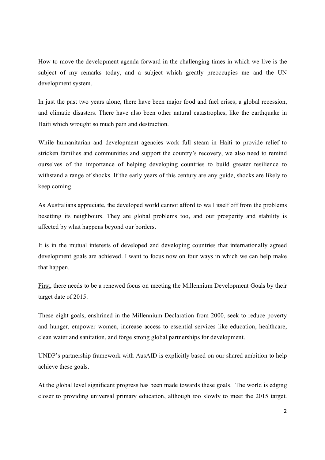How to move the development agenda forward in the challenging times in which we live is the subject of my remarks today, and a subject which greatly preoccupies me and the UN development system.

In just the past two years alone, there have been major food and fuel crises, a global recession, and climatic disasters. There have also been other natural catastrophes, like the earthquake in Haiti which wrought so much pain and destruction.

While humanitarian and development agencies work full steam in Haiti to provide relief to stricken families and communities and support the country's recovery, we also need to remind ourselves of the importance of helping developing countries to build greater resilience to withstand a range of shocks. If the early years of this century are any guide, shocks are likely to keep coming.

As Australians appreciate, the developed world cannot afford to wall itself off from the problems besetting its neighbours. They are global problems too, and our prosperity and stability is affected by what happens beyond our borders.

It is in the mutual interests of developed and developing countries that internationally agreed development goals are achieved. I want to focus now on four ways in which we can help make that happen.

First, there needs to be a renewed focus on meeting the Millennium Development Goals by their target date of 2015.

These eight goals, enshrined in the Millennium Declaration from 2000, seek to reduce poverty and hunger, empower women, increase access to essential services like education, healthcare, clean water and sanitation, and forge strong global partnerships for development.

UNDP's partnership framework with AusAID is explicitly based on our shared ambition to help achieve these goals.

At the global level significant progress has been made towards these goals. The world is edging closer to providing universal primary education, although too slowly to meet the 2015 target.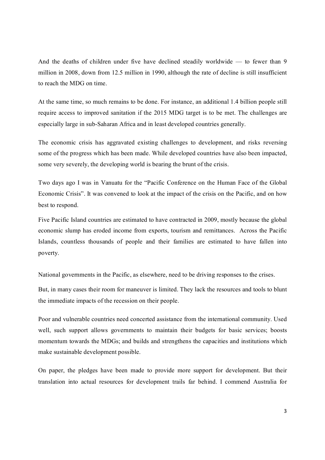And the deaths of children under five have declined steadily worldwide — to fewer than 9 million in 2008, down from 12.5 million in 1990, although the rate of decline is still insufficient to reach the MDG on time.

At the same time, so much remains to be done. For instance, an additional 1.4 billion people still require access to improved sanitation if the 2015 MDG target is to be met. The challenges are especially large in sub-Saharan Africa and in least developed countries generally.

The economic crisis has aggravated existing challenges to development, and risks reversing some of the progress which has been made. While developed countries have also been impacted, some very severely, the developing world is bearing the brunt of the crisis.

Two days ago I was in Vanuatu for the "Pacific Conference on the Human Face of the Global Economic Crisis". It was convened to look at the impact of the crisis on the Pacific, and on how best to respond.

Five Pacific Island countries are estimated to have contracted in 2009, mostly because the global economic slump has eroded income from exports, tourism and remittances. Across the Pacific Islands, countless thousands of people and their families are estimated to have fallen into poverty.

National governments in the Pacific, as elsewhere, need to be driving responses to the crises.

But, in many cases their room for maneuver is limited. They lack the resources and tools to blunt the immediate impacts of the recession on their people.

Poor and vulnerable countries need concerted assistance from the international community. Used well, such support allows governments to maintain their budgets for basic services; boosts momentum towards the MDGs; and builds and strengthens the capacities and institutions which make sustainable development possible.

On paper, the pledges have been made to provide more support for development. But their translation into actual resources for development trails far behind. I commend Australia for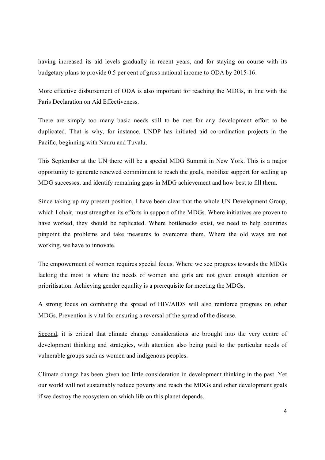having increased its aid levels gradually in recent years, and for staying on course with its budgetary plans to provide 0.5 per cent of gross national income to ODA by 2015-16.

More effective disbursement of ODA is also important for reaching the MDGs, in line with the Paris Declaration on Aid Effectiveness.

There are simply too many basic needs still to be met for any development effort to be duplicated. That is why, for instance, UNDP has initiated aid co-ordination projects in the Pacific, beginning with Nauru and Tuvalu.

This September at the UN there will be a special MDG Summit in New York. This is a major opportunity to generate renewed commitment to reach the goals, mobilize support for scaling up MDG successes, and identify remaining gaps in MDG achievement and how best to fill them.

Since taking up my present position, I have been clear that the whole UN Development Group, which I chair, must strengthen its efforts in support of the MDGs. Where initiatives are proven to have worked, they should be replicated. Where bottlenecks exist, we need to help countries pinpoint the problems and take measures to overcome them. Where the old ways are not working, we have to innovate.

The empowerment of women requires special focus. Where we see progress towards the MDGs lacking the most is where the needs of women and girls are not given enough attention or prioritisation. Achieving gender equality is a prerequisite for meeting the MDGs.

A strong focus on combating the spread of HIV/AIDS will also reinforce progress on other MDGs. Prevention is vital for ensuring a reversal of the spread of the disease.

Second, it is critical that climate change considerations are brought into the very centre of development thinking and strategies, with attention also being paid to the particular needs of vulnerable groups such as women and indigenous peoples.

Climate change has been given too little consideration in development thinking in the past. Yet our world will not sustainably reduce poverty and reach the MDGs and other development goals if we destroy the ecosystem on which life on this planet depends.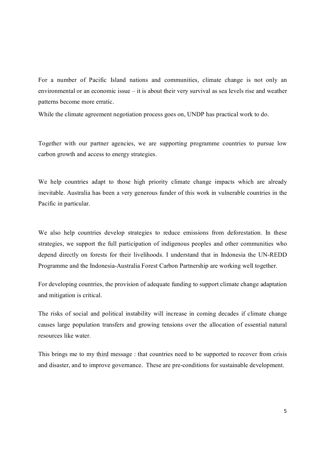For a number of Pacific Island nations and communities, climate change is not only an environmental or an economic issue – it is about their very survival as sea levels rise and weather patterns become more erratic.

While the climate agreement negotiation process goes on, UNDP has practical work to do.

Together with our partner agencies, we are supporting programme countries to pursue low carbon growth and access to energy strategies.

We help countries adapt to those high priority climate change impacts which are already inevitable. Australia has been a very generous funder of this work in vulnerable countries in the Pacific in particular.

We also help countries develop strategies to reduce emissions from deforestation. In these strategies, we support the full participation of indigenous peoples and other communities who depend directly on forests for their livelihoods. I understand that in Indonesia the UN-REDD Programme and the Indonesia-Australia Forest Carbon Partnership are working well together.

For developing countries, the provision of adequate funding to support climate change adaptation and mitigation is critical.

The risks of social and political instability will increase in coming decades if climate change causes large population transfers and growing tensions over the allocation of essential natural resources like water.

This brings me to my third message : that countries need to be supported to recover from crisis and disaster, and to improve governance. These are pre-conditions for sustainable development.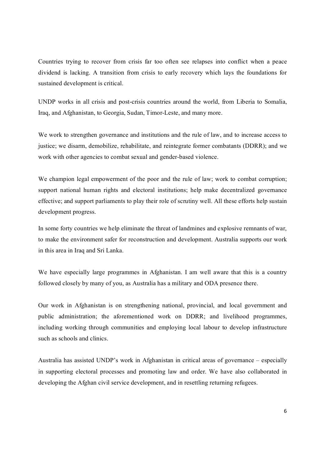Countries trying to recover from crisis far too often see relapses into conflict when a peace dividend is lacking. A transition from crisis to early recovery which lays the foundations for sustained development is critical.

UNDP works in all crisis and post-crisis countries around the world, from Liberia to Somalia, Iraq, and Afghanistan, to Georgia, Sudan, Timor-Leste, and many more.

We work to strengthen governance and institutions and the rule of law, and to increase access to justice; we disarm, demobilize, rehabilitate, and reintegrate former combatants (DDRR); and we work with other agencies to combat sexual and gender-based violence.

We champion legal empowerment of the poor and the rule of law; work to combat corruption; support national human rights and electoral institutions; help make decentralized governance effective; and support parliaments to play their role of scrutiny well. All these efforts help sustain development progress.

In some forty countries we help eliminate the threat of landmines and explosive remnants of war, to make the environment safer for reconstruction and development. Australia supports our work in this area in Iraq and Sri Lanka.

We have especially large programmes in Afghanistan. I am well aware that this is a country followed closely by many of you, as Australia has a military and ODA presence there.

Our work in Afghanistan is on strengthening national, provincial, and local government and public administration; the aforementioned work on DDRR; and livelihood programmes, including working through communities and employing local labour to develop infrastructure such as schools and clinics.

Australia has assisted UNDP's work in Afghanistan in critical areas of governance – especially in supporting electoral processes and promoting law and order. We have also collaborated in developing the Afghan civil service development, and in resettling returning refugees.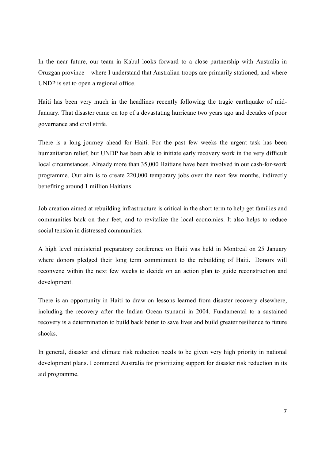In the near future, our team in Kabul looks forward to a close partnership with Australia in Oruzgan province – where I understand that Australian troops are primarily stationed, and where UNDP is set to open a regional office.

Haiti has been very much in the headlines recently following the tragic earthquake of mid January. That disaster came on top of a devastating hurricane two years ago and decades of poor governance and civil strife.

There is a long journey ahead for Haiti. For the past few weeks the urgent task has been humanitarian relief, but UNDP has been able to initiate early recovery work in the very difficult local circumstances. Already more than 35,000 Haitians have been involved in our cash-for-work programme. Our aim is to create 220,000 temporary jobs over the next few months, indirectly benefiting around 1 million Haitians.

Job creation aimed at rebuilding infrastructure is critical in the short term to help get families and communities back on their feet, and to revitalize the local economies. It also helps to reduce social tension in distressed communities.

A high level ministerial preparatory conference on Haiti was held in Montreal on 25 January where donors pledged their long term commitment to the rebuilding of Haiti. Donors will reconvene within the next few weeks to decide on an action plan to guide reconstruction and development.

There is an opportunity in Haiti to draw on lessons learned from disaster recovery elsewhere, including the recovery after the Indian Ocean tsunami in 2004. Fundamental to a sustained recovery is a determination to build back better to save lives and build greater resilience to future shocks.

In general, disaster and climate risk reduction needs to be given very high priority in national development plans. I commend Australia for prioritizing support for disaster risk reduction in its aid programme.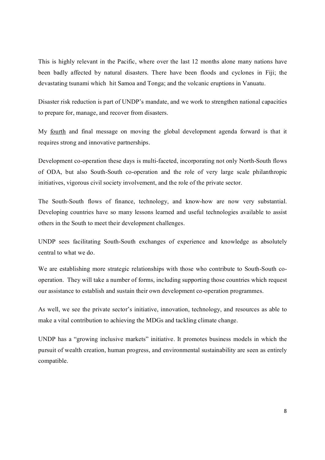This is highly relevant in the Pacific, where over the last 12 months alone many nations have been badly affected by natural disasters. There have been floods and cyclones in Fiji; the devastating tsunami which hit Samoa and Tonga; and the volcanic eruptions in Vanuatu.

Disaster risk reduction is part of UNDP's mandate, and we work to strengthen national capacities to prepare for, manage, and recover from disasters.

My fourth and final message on moving the global development agenda forward is that it requires strong and innovative partnerships.

Development co-operation these days is multi-faceted, incorporating not only North-South flows of ODA, but also South-South co-operation and the role of very large scale philanthropic initiatives, vigorous civil society involvement, and the role of the private sector.

The South-South flows of finance, technology, and know-how are now very substantial. Developing countries have so many lessons learned and useful technologies available to assist others in the South to meet their development challenges.

UNDP sees facilitating South-South exchanges of experience and knowledge as absolutely central to what we do.

We are establishing more strategic relationships with those who contribute to South-South cooperation. They will take a number of forms, including supporting those countries which request our assistance to establish and sustain their own development cooperation programmes.

As well, we see the private sector's initiative, innovation, technology, and resources as able to make a vital contribution to achieving the MDGs and tackling climate change.

UNDP has a "growing inclusive markets" initiative. It promotes business models in which the pursuit of wealth creation, human progress, and environmental sustainability are seen as entirely compatible.